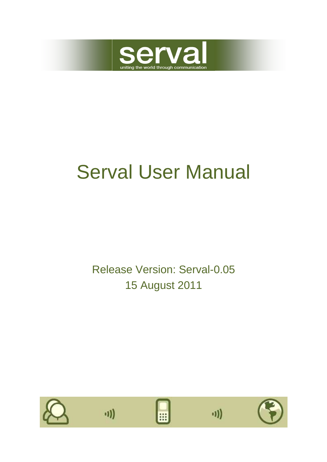

# Serval User Manual

Release Version: Serval-0.05 15 August 2011

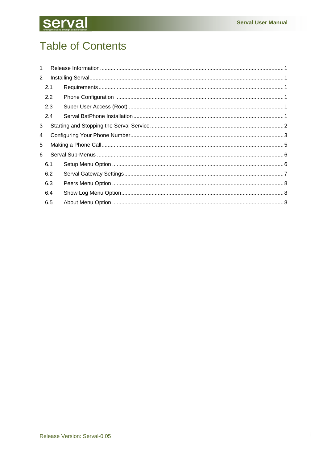## **Serval**

## **Table of Contents**

| 1              |     |  |  |  |  |
|----------------|-----|--|--|--|--|
| $\overline{2}$ |     |  |  |  |  |
| 2.1            |     |  |  |  |  |
|                | 2.2 |  |  |  |  |
|                | 2.3 |  |  |  |  |
|                | 2.4 |  |  |  |  |
| 3              |     |  |  |  |  |
| 4              |     |  |  |  |  |
| 5              |     |  |  |  |  |
| 6              |     |  |  |  |  |
|                | 6.1 |  |  |  |  |
|                | 6.2 |  |  |  |  |
|                | 6.3 |  |  |  |  |
| 6.4            |     |  |  |  |  |
|                | 6.5 |  |  |  |  |
|                |     |  |  |  |  |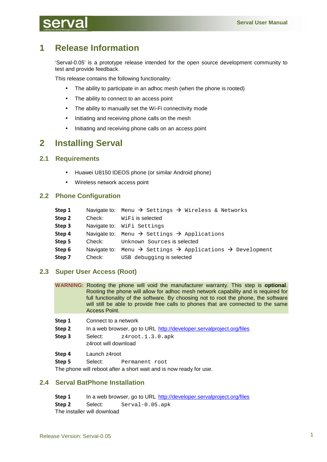## **1 Release Information**

'Serval-0.05' is a prototype release intended for the open source development community to test and provide feedback.

This release contains the following functionality:

- The ability to participate in an adhoc mesh (when the phone is rooted)
- The ability to connect to an access point
- The ability to manually set the Wi-Fi connectivity mode
- Initiating and receiving phone calls on the mesh
- Initiating and receiving phone calls on an access point

## **2 Installing Serval**

## **2.1 Requirements**

- Huawei U8150 IDEOS phone (or similar Android phone)
- Wireless network access point

## **2.2 Phone Configuration**

| Step 1 |        | Navigate to: Menu $\rightarrow$ Settings $\rightarrow$ Wireless & Networks                    |
|--------|--------|-----------------------------------------------------------------------------------------------|
| Step 2 | Check: | WiFi is selected                                                                              |
| Step 3 |        | Navigate to: WiFi Settings                                                                    |
| Step 4 |        | Navigate to: Menu $\rightarrow$ Settings $\rightarrow$ Applications                           |
| Step 5 | Check: | Unknown Sources is selected                                                                   |
| Step 6 |        | Navigate to: Menu $\rightarrow$ Settings $\rightarrow$ Applications $\rightarrow$ Development |
| Step 7 | Check: | USB debugging is selected                                                                     |

## **2.3 Super User Access (Root)**

| WARNING: Rooting the phone will void the manufacturer warranty. This step is optional. |
|----------------------------------------------------------------------------------------|
| Rooting the phone will allow for adhoc mesh network capability and is required for     |
| full functionality of the software. By choosing not to root the phone, the software    |
| will still be able to provide free calls to phones that are connected to the same      |
| <b>Access Point.</b>                                                                   |
|                                                                                        |

- **Step 1** Connect to a network
- **Step 2** In a web browser, go to URL http://developer.servalproject.org/files
- **Step 3** Select: z4root.1.3.0.apk z4root will download
- **Step 4** Launch z4root
- **Step 5** Select: Permanent root

The phone will reboot after a short wait and is now ready for use.

## **2.4 Serval BatPhone Installation**

**Step 1** In a web browser, go to URL http://developer.servalproject.org/files **Step 2** Select: Serval-0.05.apk The installer will download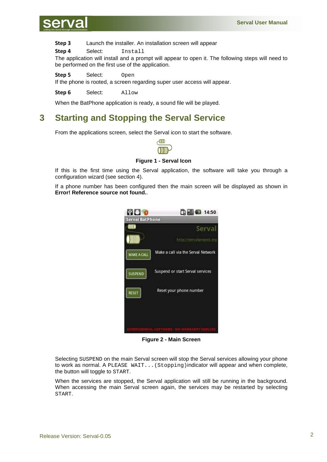

**Step 3** Launch the installer. An installation screen will appear

**Step 4** Select: Install

The application will install and a prompt will appear to open it. The following steps will need to be performed on the first use of the application.

**Step 5** Select: Open

If the phone is rooted, a screen regarding super user access will appear.

**Step 6** Select: Allow

When the BatPhone application is ready, a sound file will be played.

## **3 Starting and Stopping the Serval Service**

From the applications screen, select the Serval icon to start the software.



#### **Figure 1 - Serval Icon**

If this is the first time using the Serval application, the software will take you through a configuration wizard (see section 4).

If a phone number has been configured then the main screen will be displayed as shown in **Error! Reference source not found.**.



**Figure 2 - Main Screen** 

Selecting SUSPEND on the main Serval screen will stop the Serval services allowing your phone to work as normal. A PLEASE WAIT...(Stopping)indicator will appear and when complete, the button will toggle to START.

When the services are stopped, the Serval application will still be running in the background. When accessing the main Serval screen again, the services may be restarted by selecting START.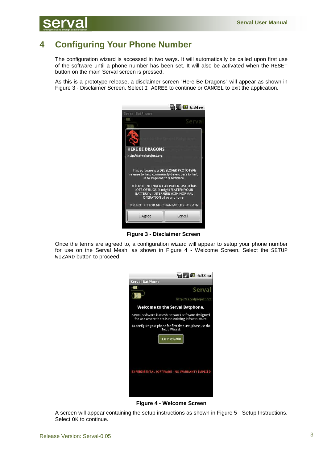

## **4 Configuring Your Phone Number**

The configuration wizard is accessed in two ways. It will automatically be called upon first use of the software until a phone number has been set. It will also be activated when the RESET button on the main Serval screen is pressed.

As this is a prototype release, a disclaimer screen "Here Be Dragons" will appear as shown in Figure 3 - Disclaimer Screen. Select I AGREE to continue or CANCEL to exit the application.



**Figure 3 - Disclaimer Screen**

Once the terms are agreed to, a configuration wizard will appear to setup your phone number for use on the Serval Mesh, as shown in Figure 4 - Welcome Screen. Select the SETUP WIZARD button to proceed.



**Figure 4 - Welcome Screen** 

A screen will appear containing the setup instructions as shown in Figure 5 - Setup Instructions. Select OK to continue.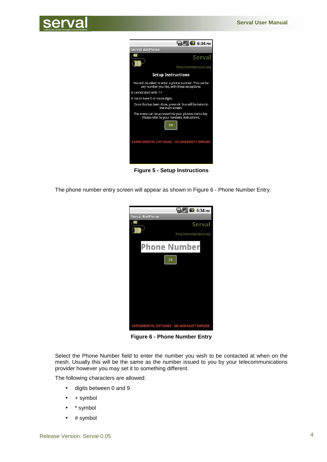



**Figure 5 - Setup Instructions**

The phone number entry screen will appear as shown in Figure 6 - Phone Number Entry.



**Figure 6 - Phone Number Entry** 

Select the Phone Number field to enter the number you wish to be contacted at when on the mesh. Usually this will be the same as the number issued to you by your telecommunications provider however you may set it to something different.

The following characters are allowed:

- digits between 0 and 9
- $+ symbol$
- \* symbol
- # symbol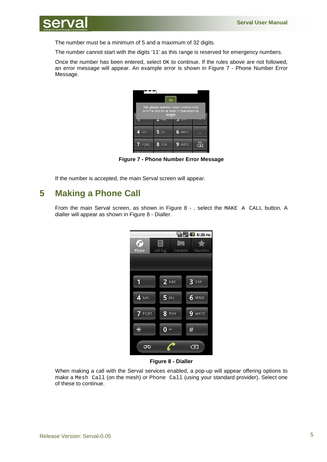

The number must be a minimum of 5 and a maximum of 32 digits.

The number cannot start with the digits '11' as this range is reserved for emergency numbers.

Once the number has been entered, select OK to continue. If the rules above are not followed, an error message will appear. An example error is shown in Figure 7 - Phone Number Error Message.



**Figure 7 - Phone Number Error Message** 

If the number is accepted, the main Serval screen will appear.

## **5 Making a Phone Call**

From the main Serval screen, as shown in Figure 8 -, select the MAKE A CALL button. A dialler will appear as shown in Figure 8 - Dialler.

|          |              | <b>ED UNITED</b> 6:36 PM |           |
|----------|--------------|--------------------------|-----------|
| è        | ≡            |                          |           |
| Phone    | Call log     | Contacts                 | Favorites |
|          |              |                          |           |
|          |              |                          |           |
| 1        | $2$ ABC      | 3 DEF                    |           |
| 4 GHI    | $5$ JKL      | <b>6 MNO</b>             |           |
| 7 PQRS   | <b>8 TUV</b> | 9<br>WXYZ                |           |
| $\ast$   | 0<br>$+$     | #                        |           |
| $\sigma$ |              | $\overline{\mathbf{x}}$  |           |

**Figure 8 - Dialler** 

When making a call with the Serval services enabled, a pop-up will appear offering options to make a Mesh Call (on the mesh) or Phone Call (using your standard provider). Select one of these to continue.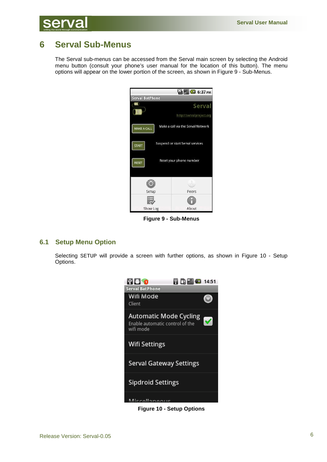

## **6 Serval Sub-Menus**

The Serval sub-menus can be accessed from the Serval main screen by selecting the Android menu button (consult your phone's user manual for the location of this button). The menu options will appear on the lower portion of the screen, as shown in Figure 9 - Sub-Menus.



**Figure 9 - Sub-Menus** 

### **6.1 Setup Menu Option**

Selecting SETUP will provide a screen with further options, as shown in Figure 10 - Setup Options.



**Figure 10 - Setup Options**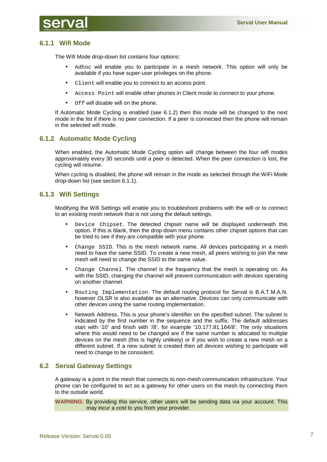

## **6.1.1 Wifi Mode**

The Wifi Mode drop-down list contains four options:

- Adhoc will enable you to participate in a mesh network. This option will only be available if you have super-user privileges on the phone.
- Client will enable you to connect to an access point.
- Access Point will enable other phones in Client mode to connect to your phone.
- Off will disable wifi on the phone.

If Automatic Mode Cycling is enabled (see 6.1.2) then this mode will be changed to the next mode in the list if there is no peer connection. If a peer is connected then the phone will remain in the selected wifi mode.

## **6.1.2 Automatic Mode Cycling**

When enabled, the Automatic Mode Cycling option will change between the four wifi modes approximately every 30 seconds until a peer is detected. When the peer connection is lost, the cycling will resume.

When cycling is disabled, the phone will remain in the mode as selected through the WiFi Mode drop-down list (see section 6.1.1).

## **6.1.3 Wifi Settings**

Modifying the Wifi Settings will enable you to troubleshoot problems with the wifi or to connect to an existing mesh network that is not using the default settings.

- Device Chipset. The detected chipset name will be displayed underneath this option. If this is blank, then the drop-down menu contains other chipset options that can be tried to see if they are compatible with your phone.
- Change SSID. This is the mesh network name. All devices participating in a mesh need to have the same SSID. To create a new mesh, all peers wishing to join the new mesh will need to change the SSID to the same value.
- Change Channel. The channel is the frequency that the mesh is operating on. As with the SSID, changing the channel will prevent communication with devices operating on another channel.
- Routing Implementation. The default routing protocol for Serval is B.A.T.M.A.N. however OLSR is also available as an alternative. Devices can only communicate with other devices using the same routing implementation.
- Network Address. This is your phone's identifier on the specified subnet. The subnet is indicated by the first number in the sequence and the suffix. The default addresses start with '10' and finish with '/8', for example '10.177.81.164/8'. The only situations where this would need to be changed are if the same number is allocated to multiple devices on the mesh (this is highly unlikely) or if you wish to create a new mesh on a different subnet. If a new subnet is created then all devices wishing to participate will need to change to be consistent.

## **6.2 Serval Gateway Settings**

A gateway is a point in the mesh that connects to non-mesh communication infrastructure. Your phone can be configured to act as a gateway for other users on the mesh by connecting them to the outside world.

**WARNING:** By providing this service, other users will be sending data via your account. This may incur a cost to you from your provider.